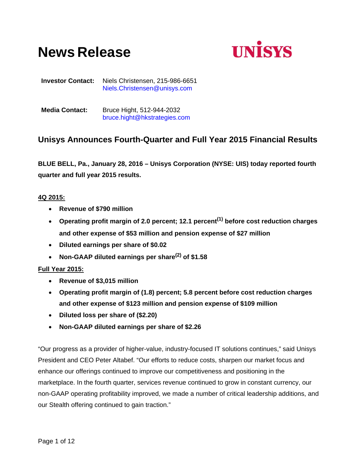# **News Release**



**Investor Contact:** Niels Christensen, 215-986-6651 Niels.Christensen@unisys.com

**Media Contact:** Bruce Hight, 512-944-2032 bruce.hight@hkstrategies.com

# **Unisys Announces Fourth-Quarter and Full Year 2015 Financial Results**

**BLUE BELL, Pa., January 28, 2016 – Unisys Corporation (NYSE: UIS) today reported fourth quarter and full year 2015 results.** 

## **4Q 2015:**

- **Revenue of \$790 million**
- **Operating profit margin of 2.0 percent; 12.1 percent(1) before cost reduction charges and other expense of \$53 million and pension expense of \$27 million**
- **Diluted earnings per share of \$0.02**
- **Non-GAAP diluted earnings per share(2) of \$1.58**

## **Full Year 2015:**

- **Revenue of \$3,015 million**
- **Operating profit margin of (1.8) percent; 5.8 percent before cost reduction charges and other expense of \$123 million and pension expense of \$109 million**
- **Diluted loss per share of (\$2.20)**
- **Non-GAAP diluted earnings per share of \$2.26**

"Our progress as a provider of higher-value, industry-focused IT solutions continues," said Unisys President and CEO Peter Altabef. "Our efforts to reduce costs, sharpen our market focus and enhance our offerings continued to improve our competitiveness and positioning in the marketplace. In the fourth quarter, services revenue continued to grow in constant currency, our non-GAAP operating profitability improved, we made a number of critical leadership additions, and our Stealth offering continued to gain traction."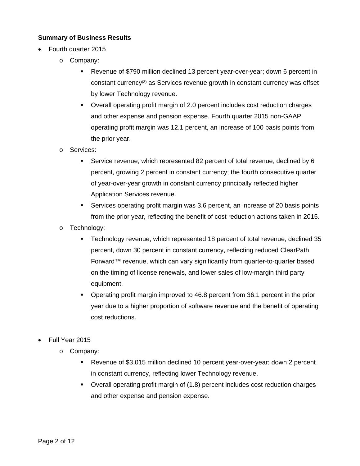## **Summary of Business Results**

- Fourth quarter 2015
	- o Company:
		- Revenue of \$790 million declined 13 percent year-over-year; down 6 percent in constant currency<sup>(3)</sup> as Services revenue growth in constant currency was offset by lower Technology revenue.
		- Overall operating profit margin of 2.0 percent includes cost reduction charges and other expense and pension expense. Fourth quarter 2015 non-GAAP operating profit margin was 12.1 percent, an increase of 100 basis points from the prior year.
	- o Services:
		- Service revenue, which represented 82 percent of total revenue, declined by 6 percent, growing 2 percent in constant currency; the fourth consecutive quarter of year-over-year growth in constant currency principally reflected higher Application Services revenue.
		- Services operating profit margin was 3.6 percent, an increase of 20 basis points from the prior year, reflecting the benefit of cost reduction actions taken in 2015.
	- o Technology:
		- Technology revenue, which represented 18 percent of total revenue, declined 35 percent, down 30 percent in constant currency, reflecting reduced ClearPath Forward™ revenue, which can vary significantly from quarter-to-quarter based on the timing of license renewals, and lower sales of low-margin third party equipment.
		- Operating profit margin improved to 46.8 percent from 36.1 percent in the prior year due to a higher proportion of software revenue and the benefit of operating cost reductions.
- Full Year 2015
	- o Company:
		- Revenue of \$3,015 million declined 10 percent year-over-year; down 2 percent in constant currency, reflecting lower Technology revenue.
		- Overall operating profit margin of (1.8) percent includes cost reduction charges and other expense and pension expense.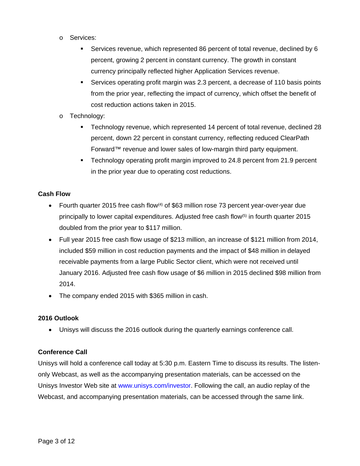- o Services:
	- Services revenue, which represented 86 percent of total revenue, declined by 6 percent, growing 2 percent in constant currency. The growth in constant currency principally reflected higher Application Services revenue.
	- Services operating profit margin was 2.3 percent, a decrease of 110 basis points from the prior year, reflecting the impact of currency, which offset the benefit of cost reduction actions taken in 2015.
- o Technology:
	- Technology revenue, which represented 14 percent of total revenue, declined 28 percent, down 22 percent in constant currency, reflecting reduced ClearPath Forward™ revenue and lower sales of low-margin third party equipment.
	- Technology operating profit margin improved to 24.8 percent from 21.9 percent in the prior year due to operating cost reductions.

## **Cash Flow**

- Fourth quarter 2015 free cash flow<sup>(4)</sup> of \$63 million rose 73 percent year-over-year due principally to lower capital expenditures. Adjusted free cash flow<sup>(5)</sup> in fourth quarter 2015 doubled from the prior year to \$117 million.
- Full year 2015 free cash flow usage of \$213 million, an increase of \$121 million from 2014, included \$59 million in cost reduction payments and the impact of \$48 million in delayed receivable payments from a large Public Sector client, which were not received until January 2016. Adjusted free cash flow usage of \$6 million in 2015 declined \$98 million from 2014.
- The company ended 2015 with \$365 million in cash.

## **2016 Outlook**

Unisys will discuss the 2016 outlook during the quarterly earnings conference call.

## **Conference Call**

Unisys will hold a conference call today at 5:30 p.m. Eastern Time to discuss its results. The listenonly Webcast, as well as the accompanying presentation materials, can be accessed on the Unisys Investor Web site at www.unisys.com/investor. Following the call, an audio replay of the Webcast, and accompanying presentation materials, can be accessed through the same link.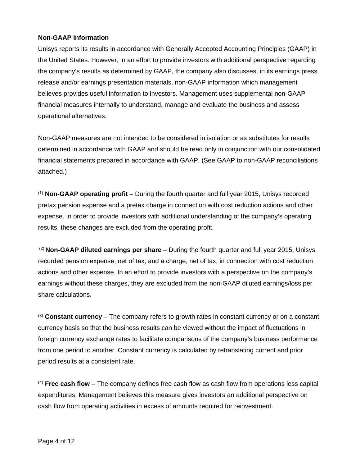### **Non-GAAP Information**

Unisys reports its results in accordance with Generally Accepted Accounting Principles (GAAP) in the United States. However, in an effort to provide investors with additional perspective regarding the company's results as determined by GAAP, the company also discusses, in its earnings press release and/or earnings presentation materials, non-GAAP information which management believes provides useful information to investors. Management uses supplemental non-GAAP financial measures internally to understand, manage and evaluate the business and assess operational alternatives.

Non-GAAP measures are not intended to be considered in isolation or as substitutes for results determined in accordance with GAAP and should be read only in conjunction with our consolidated financial statements prepared in accordance with GAAP. (See GAAP to non-GAAP reconciliations attached.)

(1) **Non-GAAP operating profit** – During the fourth quarter and full year 2015, Unisys recorded pretax pension expense and a pretax charge in connection with cost reduction actions and other expense. In order to provide investors with additional understanding of the company's operating results, these changes are excluded from the operating profit.

 (2) **Non-GAAP diluted earnings per share –** During the fourth quarter and full year 2015, Unisys recorded pension expense, net of tax, and a charge, net of tax, in connection with cost reduction actions and other expense. In an effort to provide investors with a perspective on the company's earnings without these charges, they are excluded from the non-GAAP diluted earnings/loss per share calculations.

(3) **Constant currency** – The company refers to growth rates in constant currency or on a constant currency basis so that the business results can be viewed without the impact of fluctuations in foreign currency exchange rates to facilitate comparisons of the company's business performance from one period to another. Constant currency is calculated by retranslating current and prior period results at a consistent rate.

(4) **Free cash flow** – The company defines free cash flow as cash flow from operations less capital expenditures. Management believes this measure gives investors an additional perspective on cash flow from operating activities in excess of amounts required for reinvestment.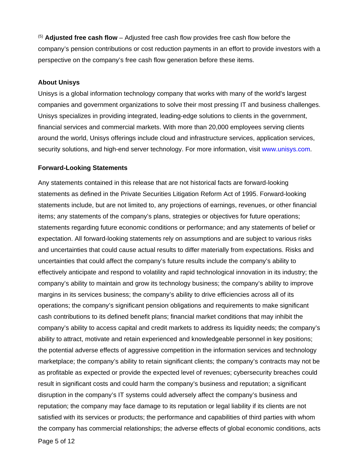(5) **Adjusted free cash flow** – Adjusted free cash flow provides free cash flow before the company's pension contributions or cost reduction payments in an effort to provide investors with a perspective on the company's free cash flow generation before these items.

#### **About Unisys**

Unisys is a global information technology company that works with many of the world's largest companies and government organizations to solve their most pressing IT and business challenges. Unisys specializes in providing integrated, leading-edge solutions to clients in the government, financial services and commercial markets. With more than 20,000 employees serving clients around the world, Unisys offerings include cloud and infrastructure services, application services, security solutions, and high-end server technology. For more information, visit www.unisys.com.

#### **Forward-Looking Statements**

Any statements contained in this release that are not historical facts are forward-looking statements as defined in the Private Securities Litigation Reform Act of 1995. Forward-looking statements include, but are not limited to, any projections of earnings, revenues, or other financial items; any statements of the company's plans, strategies or objectives for future operations; statements regarding future economic conditions or performance; and any statements of belief or expectation. All forward-looking statements rely on assumptions and are subject to various risks and uncertainties that could cause actual results to differ materially from expectations. Risks and uncertainties that could affect the company's future results include the company's ability to effectively anticipate and respond to volatility and rapid technological innovation in its industry; the company's ability to maintain and grow its technology business; the company's ability to improve margins in its services business; the company's ability to drive efficiencies across all of its operations; the company's significant pension obligations and requirements to make significant cash contributions to its defined benefit plans; financial market conditions that may inhibit the company's ability to access capital and credit markets to address its liquidity needs; the company's ability to attract, motivate and retain experienced and knowledgeable personnel in key positions; the potential adverse effects of aggressive competition in the information services and technology marketplace; the company's ability to retain significant clients; the company's contracts may not be as profitable as expected or provide the expected level of revenues; cybersecurity breaches could result in significant costs and could harm the company's business and reputation; a significant disruption in the company's IT systems could adversely affect the company's business and reputation; the company may face damage to its reputation or legal liability if its clients are not satisfied with its services or products; the performance and capabilities of third parties with whom the company has commercial relationships; the adverse effects of global economic conditions, acts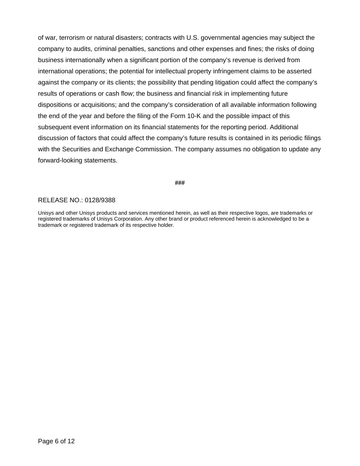of war, terrorism or natural disasters; contracts with U.S. governmental agencies may subject the company to audits, criminal penalties, sanctions and other expenses and fines; the risks of doing business internationally when a significant portion of the company's revenue is derived from international operations; the potential for intellectual property infringement claims to be asserted against the company or its clients; the possibility that pending litigation could affect the company's results of operations or cash flow; the business and financial risk in implementing future dispositions or acquisitions; and the company's consideration of all available information following the end of the year and before the filing of the Form 10-K and the possible impact of this subsequent event information on its financial statements for the reporting period. Additional discussion of factors that could affect the company's future results is contained in its periodic filings with the Securities and Exchange Commission. The company assumes no obligation to update any forward-looking statements.

#### **###**

#### RELEASE NO.: 0128/9388

Unisys and other Unisys products and services mentioned herein, as well as their respective logos, are trademarks or registered trademarks of Unisys Corporation. Any other brand or product referenced herein is acknowledged to be a trademark or registered trademark of its respective holder.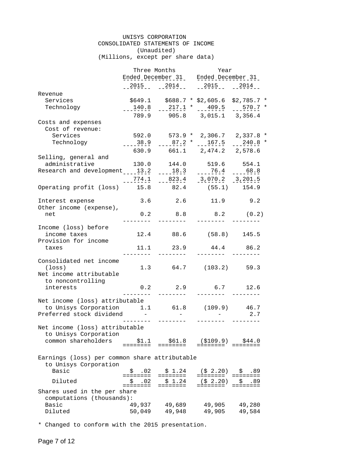#### UNISYS CORPORATION CONSOLIDATED STATEMENTS OF INCOME (Unaudited) (Millions, except per share data)

Three Months The Year Ended December 31 Ended December 31  $-2015$   $-2014$   $-2015$   $-2015$   $-2015$ Revenue Services \$649.1 \$688.7 \* \$2,605.6 \$2,785.7 \* Technology 140.8 217.1 \* 409.5 570.7 \* -------- -------- -------- -------- 789.9 905.8 3,015.1 3,356.4 Costs and expenses Cost of revenue: Services 592.0 573.9 \* 2,306.7 2,337.8 \* Technology 11 ----38.9 ----87.2 \* ---167.5 ---240.8 \* 630.9 661.1 2,474.2 2,578.6 Selling, general and 130.0 144.0 519.6 554.1 Research and development \_\_\_\_13.2 \_\_\_\_18.3 \_\_\_\_\_76.4 \_\_\_\_68.8  $-274.1$   $-823.4$   $-3.070.2$   $-3.201.5$ Operating profit (loss) 15.8 82.4 (55.1) 154.9 Interest expense 3.6 2.6 11.9 9.2 Other income (expense), net 0.2 8.8 8.2 (0.2) -------- -------- -------- -------- Income (loss) before income taxes 12.4 88.6 (58.8) 145.5 Provision for income taxes 11.1 23.9 44.4 86.2 -------- -------- -------- -------- Consolidated net income (loss) 1.3 64.7 (103.2) 59.3 Net income attributable to noncontrolling interests 0.2 2.9 6.7 12.6 -------- -------- -------- -------- Net income (loss) attributable to Unisys Corporation 1.1 61.8 (109.9) 46.7 Preferred stock dividend  $2.7$  -------- -------- -------- -------- Net income (loss) attributable to Unisys Corporation common shareholders \$1.1 \$61.8 (\$109.9) \$44.0 ======== ======== ======== ======== Earnings (loss) per common share attributable to Unisys Corporation Basic \$ .02 \$ 1.24 (\$ 2.20) \$ .89 ======== ======== ======== ======== Diluted \$ .02 \$ 1.24 (\$ 2.20) \$ .89 ======== ======== ======== ======== Shares used in the per share computations (thousands): Basic 49,937 49,689 49,905 49,280 Diluted 50,049 49,948 49,905 49,584

\* Changed to conform with the 2015 presentation.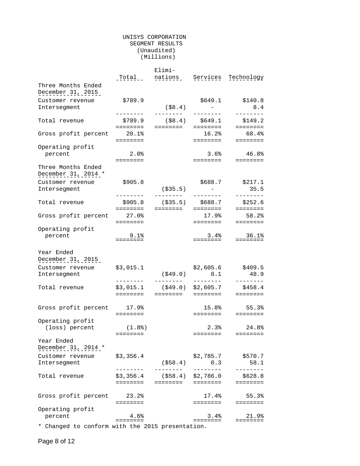#### UNISYS CORPORATION SEGMENT RESULTS (Unaudited) (Millions)

|                                                  |                                                                                 | Elimi-                 |                                |                                                                         |  |
|--------------------------------------------------|---------------------------------------------------------------------------------|------------------------|--------------------------------|-------------------------------------------------------------------------|--|
|                                                  | Total                                                                           | nations                | Services                       | Technology                                                              |  |
| Three Months Ended                               |                                                                                 |                        |                                |                                                                         |  |
| December 31, 2015                                |                                                                                 |                        |                                |                                                                         |  |
|                                                  |                                                                                 |                        |                                |                                                                         |  |
| Customer revenue                                 | \$789.9                                                                         |                        | \$649.1                        | \$140.8                                                                 |  |
| Interseqment                                     |                                                                                 | ( \$8.4)               | $\mathcal{L}_{\text{max}} = 1$ | 8.4                                                                     |  |
|                                                  |                                                                                 | --------               | .                              | ________                                                                |  |
| Total revenue                                    | \$789.9                                                                         | $($ \$8.4) \$649.1     |                                | \$149.2                                                                 |  |
|                                                  | ========                                                                        | ========               | ========                       | ========                                                                |  |
| Gross profit percent                             | 20.1%                                                                           |                        | 16.2%                          | 68.4%                                                                   |  |
|                                                  | ========                                                                        |                        | ========                       | ========                                                                |  |
| Operating profit                                 |                                                                                 |                        |                                |                                                                         |  |
| percent                                          | $2.0\%$                                                                         |                        | 3.6%                           | 46.8%                                                                   |  |
|                                                  | ========                                                                        |                        | ========                       | $\qquad \qquad \equiv \equiv \equiv \equiv \equiv \equiv \equiv \equiv$ |  |
| Three Months Ended                               |                                                                                 |                        |                                |                                                                         |  |
| December 31, 2014 *                              |                                                                                 |                        |                                |                                                                         |  |
| Customer revenue                                 | \$905.8                                                                         |                        | \$688.7                        | \$217.1                                                                 |  |
| Intersegment                                     |                                                                                 | ( \$35.5)              |                                | 35.5                                                                    |  |
|                                                  | ---------                                                                       | ---------              | --------                       | --------                                                                |  |
| Total revenue                                    | \$905.8                                                                         | ( \$35.5)              | \$688.7                        | \$252.6                                                                 |  |
|                                                  | ========                                                                        | ========               | $=$ $=$ $=$ $=$ $=$ $=$ $=$    | <b>EEEEEEEE</b>                                                         |  |
| Gross profit percent                             | 27.0%                                                                           |                        | 17.9%                          | 58.2%                                                                   |  |
|                                                  | ========                                                                        |                        | ========                       | $= = = = = = = = =$                                                     |  |
| Operating profit                                 |                                                                                 |                        |                                |                                                                         |  |
| percent                                          | 9.1%                                                                            |                        | 3.4%                           | 36.1%                                                                   |  |
|                                                  | $=$ = = = = = = =                                                               |                        | ========                       | $= = = = = = = = =$                                                     |  |
|                                                  |                                                                                 |                        |                                |                                                                         |  |
| Year Ended                                       |                                                                                 |                        |                                |                                                                         |  |
| December 31, 2015                                |                                                                                 |                        |                                |                                                                         |  |
| Customer revenue                                 | \$3,015.1                                                                       |                        | \$2,605.6                      | \$409.5                                                                 |  |
| Intersegment                                     |                                                                                 | ( \$49.0)              | 0.1                            | 48.9                                                                    |  |
|                                                  | . <u>.</u> .                                                                    | ---------              | --------                       | --------                                                                |  |
| Total revenue                                    | \$3,015.1                                                                       | (\$49.0) \$2,605.7     |                                | \$458.4                                                                 |  |
|                                                  | $=$ = = = = = = =                                                               |                        | ========  ========             | $= = = = = = = = =$                                                     |  |
|                                                  |                                                                                 |                        |                                |                                                                         |  |
| Gross profit percent 17.9%                       |                                                                                 |                        | 15.8%                          | 55.3%                                                                   |  |
|                                                  | $=$ = = = = = = =                                                               |                        | ========                       | $\equiv \equiv \equiv \equiv \equiv \equiv \equiv \equiv$               |  |
| Operating profit                                 |                                                                                 |                        |                                |                                                                         |  |
| (loss) percent                                   | (1.8)                                                                           |                        | 2.3%                           | 24.8%                                                                   |  |
|                                                  | ========                                                                        |                        | ========                       | ========                                                                |  |
| Year Ended                                       |                                                                                 |                        |                                |                                                                         |  |
| December 31, 2014 *                              |                                                                                 |                        |                                |                                                                         |  |
|                                                  |                                                                                 |                        |                                |                                                                         |  |
| Customer revenue                                 | \$3,356.4                                                                       |                        | \$2,785.7                      | \$570.7                                                                 |  |
| Intersegment                                     | .                                                                               | ( \$58.4)<br>--------- | 0.3<br>--------                | 58.1<br>--------                                                        |  |
|                                                  |                                                                                 |                        |                                |                                                                         |  |
| Total revenue                                    | \$3,356.4<br>========                                                           | (\$58.4) \$2,786.0     |                                | \$628.8                                                                 |  |
|                                                  |                                                                                 | ========  ========     |                                |                                                                         |  |
|                                                  |                                                                                 |                        | 17.4%                          |                                                                         |  |
| Gross profit percent 23.2%                       |                                                                                 |                        |                                | 55.3%                                                                   |  |
|                                                  | ========                                                                        |                        | ========                       | <b>EEEEEEEE</b>                                                         |  |
| Operating profit                                 |                                                                                 |                        |                                |                                                                         |  |
| percent                                          | 4.6%<br>$\qquad \qquad \equiv \equiv \equiv \equiv \equiv \equiv \equiv \equiv$ |                        | 3.4%<br>========               | 21.9%<br>$=$ = = = = = = =                                              |  |
| * Changed to conform with the 2015 presentation. |                                                                                 |                        |                                |                                                                         |  |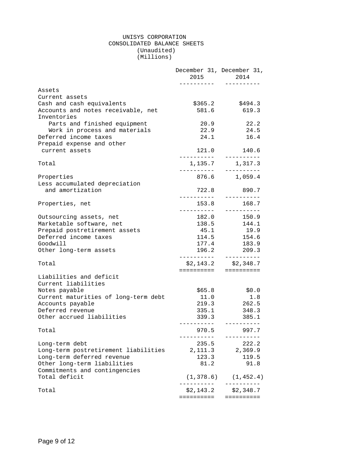#### UNISYS CORPORATION CONSOLIDATED BALANCE SHEETS (Unaudited) (Millions)

|                                                   | 2015<br>. <u>.</u>         | December 31, December 31,<br>2014<br>---------- |
|---------------------------------------------------|----------------------------|-------------------------------------------------|
| Assets                                            |                            |                                                 |
| Current assets                                    |                            |                                                 |
| Cash and cash equivalents                         | \$365.2                    | \$494.3                                         |
| Accounts and notes receivable, net<br>Inventories | 581.6                      | 619.3                                           |
| Parts and finished equipment                      | 20.9                       | 22.2                                            |
| Work in process and materials                     | 22.9                       | 24.5                                            |
| Deferred income taxes                             | 24.1                       | 16.4                                            |
| Prepaid expense and other                         |                            |                                                 |
| current assets                                    |                            | 121.0 140.6                                     |
| Total                                             |                            | 1, 135.7 1, 317.3                               |
| Properties                                        |                            | 876.6 1,059.4                                   |
| Less accumulated depreciation                     |                            |                                                 |
| and amortization                                  | 722.8                      | 890.7<br>----------                             |
| Properties, net                                   | 153.8<br>__________        | 168.7<br>__________                             |
| Outsourcing assets, net                           |                            | 182.0 150.9                                     |
| Marketable software, net                          | 138.5                      | 144.1                                           |
| Prepaid postretirement assets                     | 45.1                       | 19.9                                            |
| Deferred income taxes                             | 114.5                      | 154.6                                           |
| Goodwill                                          | 177.4                      | 183.9                                           |
| Other long-term assets                            | 196.2                      | 209.3                                           |
| Total                                             |                            | $$2,143.2$ $$2,348.7$                           |
| Liabilities and deficit                           |                            | =====================                           |
| Current liabilities                               |                            |                                                 |
| Notes payable                                     | \$65.8                     | \$0.0                                           |
| Current maturities of long-term debt              | 11.0                       | 1.8                                             |
| Accounts payable                                  | 219.3                      | 262.5                                           |
| Deferred revenue                                  | 335.1                      | 348.3                                           |
| Other accrued liabilities                         | 339.3                      | 385.1                                           |
| Total                                             | 970.5                      | 997.7                                           |
| Long-term debt                                    | 235.5                      | 222.2                                           |
| Long-term postretirement liabilities              | 2,111.3                    | 2,369.9                                         |
| Long-term deferred revenue                        | 123.3                      | 119.5                                           |
| Other long-term liabilities                       | 81.2                       | 91.8                                            |
| Commitments and contingencies                     |                            |                                                 |
| Total deficit                                     | (1, 378.6)<br>. <i>.</i> . | (1, 452.4)<br>----------                        |
| Total                                             | \$2,143.2                  | \$2,348.7                                       |
|                                                   | ==========                 | ==========                                      |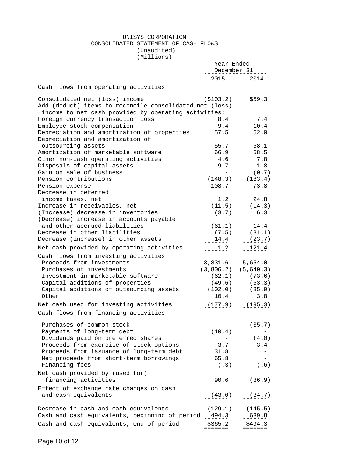#### UNISYS CORPORATION CONSOLIDATED STATEMENT OF CASH FLOWS (Unaudited)

(Millions)

|                                                         | Year Ended<br>December 31 |                         |
|---------------------------------------------------------|---------------------------|-------------------------|
|                                                         | 2015                      | 2014                    |
| Cash flows from operating activities                    |                           |                         |
| Consolidated net (loss) income                          | ( \$103.2)                | \$59.3                  |
| Add (deduct) items to reconcile consolidated net (loss) |                           |                         |
| income to net cash provided by operating activities:    |                           |                         |
| Foreign currency transaction loss                       | 8.4                       | 7.4                     |
| Employee stock compensation                             | 9.4                       | 10.4                    |
| Depreciation and amortization of properties             | 57.5                      | 52.0                    |
| Depreciation and amortization of                        |                           |                         |
| outsourcing assets                                      | 55.7                      | 58.1                    |
| Amortization of marketable software                     | 66.9                      | 58.5                    |
| Other non-cash operating activities                     | 4.6                       | 7.8                     |
| Disposals of capital assets                             | 9.7                       | 1.8                     |
| Gain on sale of business                                | $\overline{\phantom{0}}$  | (0.7)                   |
| Pension contributions                                   |                           | $(148.3)$ $(183.4)$     |
| Pension expense                                         | 108.7                     | 73.8                    |
| Decrease in deferred                                    |                           |                         |
| income taxes, net                                       |                           | $1.2$ 24.8              |
| Increase in receivables, net                            |                           |                         |
|                                                         |                           | $(11.5)$ $(14.3)$       |
| (Increase) decrease in inventories                      | (3.7)                     | 6.3                     |
| (Decrease) increase in accounts payable                 |                           |                         |
| and other accrued liabilities                           |                           | $(61.1)$ 14.4           |
| Decrease in other liabilities                           | (7.5)                     | (31.1)                  |
| Decrease (increase) in other assets                     | $-14.4$                   | $-223.7)$               |
| Net cash provided by operating activities               | $\frac{1}{2}$ 1.2         | 121.4                   |
| Cash flows from investing activities                    |                           |                         |
| Proceeds from investments                               | 3,831.6                   | 5,654.0                 |
| Purchases of investments                                |                           | $(3,806.2)$ $(5,640.3)$ |
| Investment in marketable software                       |                           | $(62.1)$ $(73.6)$       |
| Capital additions of properties                         |                           | $(49.6)$ $(53.3)$       |
| Capital additions of outsourcing assets                 |                           | $(102.0)$ $(85.9)$      |
| Other                                                   |                           | $-22.4$ $-2.8$          |
| Net cash used for investing activities                  |                           | $(177.9)$ $(195.3)$     |
| Cash flows from financing activities                    |                           |                         |
|                                                         |                           |                         |
| Purchases of common stock                               |                           | (35.7)                  |
| Payments of long-term debt                              | (10.4)                    |                         |
| Dividends paid on preferred shares                      |                           | (4.0)                   |
| Proceeds from exercise of stock options                 | 3.7                       | 3.4                     |
| Proceeds from issuance of long-term debt                | 31.8                      |                         |
| Net proceeds from short-term borrowings                 | 65.8                      |                         |
| Financing fees                                          | $-(-3)$                   | (.6)                    |
| Net cash provided by (used for)                         |                           |                         |
| financing activities                                    | $-90.6$                   | $- (36.9)$              |
|                                                         |                           |                         |
| Effect of exchange rate changes on cash                 |                           |                         |
| and cash equivalents                                    | (43.0)                    | (34.7)                  |
| Decrease in cash and cash equivalents                   | (129.1)                   | (145.5)                 |
| Cash and cash equivalents, beginning of period 494.3    |                           | 639.8                   |
|                                                         |                           |                         |
| Cash and cash equivalents, end of period                | \$365.2                   | \$494.3                 |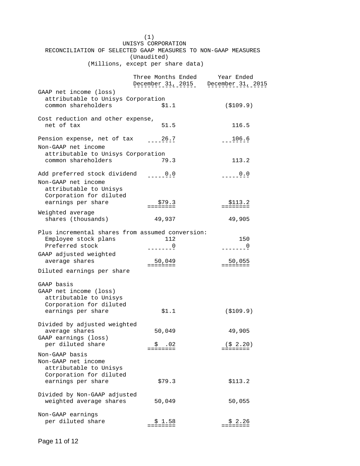|                                                               | (1)                                              |                                     |
|---------------------------------------------------------------|--------------------------------------------------|-------------------------------------|
|                                                               | UNISYS CORPORATION                               |                                     |
| RECONCILIATION OF SELECTED GAAP MEASURES TO NON-GAAP MEASURES |                                                  |                                     |
|                                                               | (Unaudited)<br>(Millions, except per share data) |                                     |
|                                                               |                                                  |                                     |
|                                                               | Three Months Ended                               | Year Ended                          |
|                                                               |                                                  | December 31, 2015 December 31, 2015 |
| GAAP net income (loss)                                        |                                                  |                                     |
| attributable to Unisys Corporation                            |                                                  |                                     |
| common shareholders                                           | \$1.1                                            | ( \$109.9)                          |
|                                                               |                                                  |                                     |
| Cost reduction and other expense,                             |                                                  |                                     |
| net of tax                                                    | 51.5                                             | 116.5                               |
| Pension expense, net of tax _____ 26.7                        |                                                  | $-2206.6$                           |
| Non-GAAP net income                                           |                                                  |                                     |
| attributable to Unisys Corporation                            |                                                  |                                     |
| common shareholders                                           | 79.3                                             | 113.2                               |
|                                                               |                                                  |                                     |
| Add preferred stock dividend ____0.0                          |                                                  | $  -$ 0.0                           |
| Non-GAAP net income                                           |                                                  |                                     |
| attributable to Unisys                                        |                                                  |                                     |
| Corporation for diluted                                       |                                                  |                                     |
| earnings per share                                            | \$79.3<br><b>EEEEEEEE</b>                        | \$113.2<br>========                 |
| Weighted average                                              |                                                  |                                     |
| shares (thousands)                                            | 49,937                                           | 49,905                              |
|                                                               |                                                  |                                     |
| Plus incremental shares from assumed conversion:              |                                                  |                                     |
| Employee stock plans                                          | 112                                              | 150                                 |
| Preferred stock                                               | $-----0$                                         | $-----0$                            |
| GAAP adjusted weighted                                        |                                                  |                                     |
| average shares                                                | 50,049<br><b>EEEEEEEE</b>                        | $=$ = $=$ = $=$ = $=$ = $=$         |
| Diluted earnings per share                                    |                                                  |                                     |
|                                                               |                                                  |                                     |
| GAAP basis<br>GAAP net income (loss)                          |                                                  |                                     |
| attributable to Unisys                                        |                                                  |                                     |
| Corporation for diluted                                       |                                                  |                                     |
| earnings per share                                            | \$1.1                                            | ( \$109.9)                          |
|                                                               |                                                  |                                     |
| Divided by adjusted weighted                                  |                                                  |                                     |
| average shares                                                | 50,049                                           | 49,905                              |
| GAAP earnings (loss)                                          |                                                  |                                     |
| per diluted share                                             | – \$ .02<br>========                             | (\$ 2.20)<br>========               |
| Non-GAAP basis                                                |                                                  |                                     |
| Non-GAAP net income                                           |                                                  |                                     |
| attributable to Unisys                                        |                                                  |                                     |
| Corporation for diluted<br>earnings per share                 | \$79.3                                           | \$113.2                             |
|                                                               |                                                  |                                     |
| Divided by Non-GAAP adjusted                                  |                                                  |                                     |
| weighted average shares                                       | 50,049                                           | 50,055                              |
|                                                               |                                                  |                                     |
| Non-GAAP earnings                                             |                                                  |                                     |
| per diluted share                                             | \$1.58                                           | \$2.26                              |